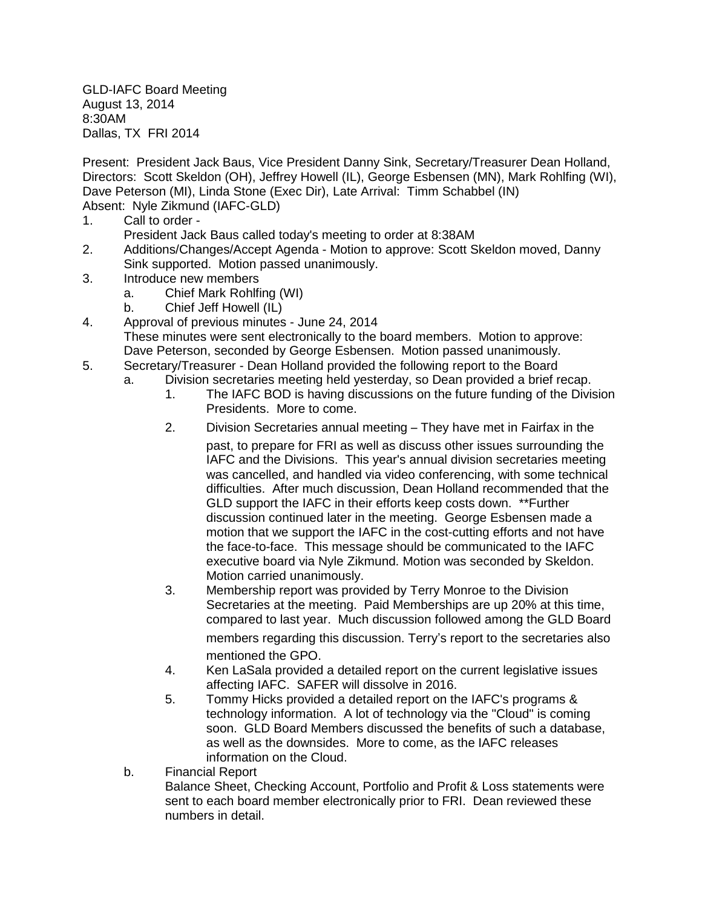GLD-IAFC Board Meeting August 13, 2014 8:30AM Dallas, TX FRI 2014

Present: President Jack Baus, Vice President Danny Sink, Secretary/Treasurer Dean Holland, Directors: Scott Skeldon (OH), Jeffrey Howell (IL), George Esbensen (MN), Mark Rohlfing (WI), Dave Peterson (MI), Linda Stone (Exec Dir), Late Arrival: Timm Schabbel (IN) Absent: Nyle Zikmund (IAFC-GLD)

- 1. Call to order
	- President Jack Baus called today's meeting to order at 8:38AM
- 2. Additions/Changes/Accept Agenda Motion to approve: Scott Skeldon moved, Danny Sink supported. Motion passed unanimously.
- 3. Introduce new members
	- a. Chief Mark Rohlfing (WI)
	- b. Chief Jeff Howell (IL)
- 4. Approval of previous minutes June 24, 2014 These minutes were sent electronically to the board members. Motion to approve: Dave Peterson, seconded by George Esbensen. Motion passed unanimously.
- 5. Secretary/Treasurer Dean Holland provided the following report to the Board
	- a. Division secretaries meeting held yesterday, so Dean provided a brief recap.
		- 1. The IAFC BOD is having discussions on the future funding of the Division Presidents. More to come.
		- 2. Division Secretaries annual meeting They have met in Fairfax in the

past, to prepare for FRI as well as discuss other issues surrounding the IAFC and the Divisions. This year's annual division secretaries meeting was cancelled, and handled via video conferencing, with some technical difficulties. After much discussion, Dean Holland recommended that the GLD support the IAFC in their efforts keep costs down. \*\*Further discussion continued later in the meeting. George Esbensen made a motion that we support the IAFC in the cost-cutting efforts and not have the face-to-face. This message should be communicated to the IAFC executive board via Nyle Zikmund. Motion was seconded by Skeldon. Motion carried unanimously.

- 3. Membership report was provided by Terry Monroe to the Division Secretaries at the meeting. Paid Memberships are up 20% at this time, compared to last year. Much discussion followed among the GLD Board members regarding this discussion. Terry's report to the secretaries also mentioned the GPO.
- 4. Ken LaSala provided a detailed report on the current legislative issues affecting IAFC. SAFER will dissolve in 2016.
- 5. Tommy Hicks provided a detailed report on the IAFC's programs & technology information. A lot of technology via the "Cloud" is coming soon. GLD Board Members discussed the benefits of such a database, as well as the downsides. More to come, as the IAFC releases information on the Cloud.
- b. Financial Report

Balance Sheet, Checking Account, Portfolio and Profit & Loss statements were sent to each board member electronically prior to FRI. Dean reviewed these numbers in detail.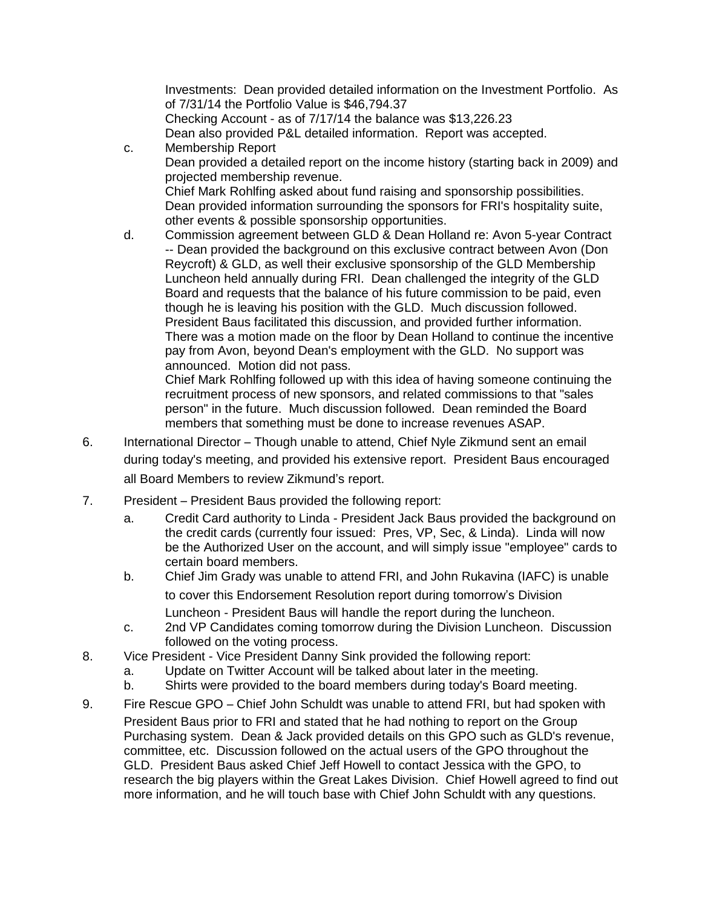Investments: Dean provided detailed information on the Investment Portfolio. As of 7/31/14 the Portfolio Value is \$46,794.37 Checking Account - as of 7/17/14 the balance was \$13,226.23 Dean also provided P&L detailed information. Report was accepted. c. Membership Report

- Dean provided a detailed report on the income history (starting back in 2009) and projected membership revenue. Chief Mark Rohlfing asked about fund raising and sponsorship possibilities. Dean provided information surrounding the sponsors for FRI's hospitality suite, other events & possible sponsorship opportunities.
- d. Commission agreement between GLD & Dean Holland re: Avon 5-year Contract -- Dean provided the background on this exclusive contract between Avon (Don Reycroft) & GLD, as well their exclusive sponsorship of the GLD Membership Luncheon held annually during FRI. Dean challenged the integrity of the GLD Board and requests that the balance of his future commission to be paid, even though he is leaving his position with the GLD. Much discussion followed. President Baus facilitated this discussion, and provided further information. There was a motion made on the floor by Dean Holland to continue the incentive pay from Avon, beyond Dean's employment with the GLD. No support was announced. Motion did not pass.

Chief Mark Rohlfing followed up with this idea of having someone continuing the recruitment process of new sponsors, and related commissions to that "sales person" in the future. Much discussion followed. Dean reminded the Board members that something must be done to increase revenues ASAP.

- 6. International Director Though unable to attend, Chief Nyle Zikmund sent an email during today's meeting, and provided his extensive report. President Baus encouraged all Board Members to review Zikmund's report.
- 7. President President Baus provided the following report:
	- a. Credit Card authority to Linda President Jack Baus provided the background on the credit cards (currently four issued: Pres, VP, Sec, & Linda). Linda will now be the Authorized User on the account, and will simply issue "employee" cards to certain board members.
	- b. Chief Jim Grady was unable to attend FRI, and John Rukavina (IAFC) is unable to cover this Endorsement Resolution report during tomorrow's Division Luncheon - President Baus will handle the report during the luncheon.
	- c. 2nd VP Candidates coming tomorrow during the Division Luncheon. Discussion followed on the voting process.
- 8. Vice President Vice President Danny Sink provided the following report:
	- a. Update on Twitter Account will be talked about later in the meeting.
		- b. Shirts were provided to the board members during today's Board meeting.
- 9. Fire Rescue GPO Chief John Schuldt was unable to attend FRI, but had spoken with President Baus prior to FRI and stated that he had nothing to report on the Group Purchasing system. Dean & Jack provided details on this GPO such as GLD's revenue, committee, etc. Discussion followed on the actual users of the GPO throughout the GLD. President Baus asked Chief Jeff Howell to contact Jessica with the GPO, to research the big players within the Great Lakes Division. Chief Howell agreed to find out more information, and he will touch base with Chief John Schuldt with any questions.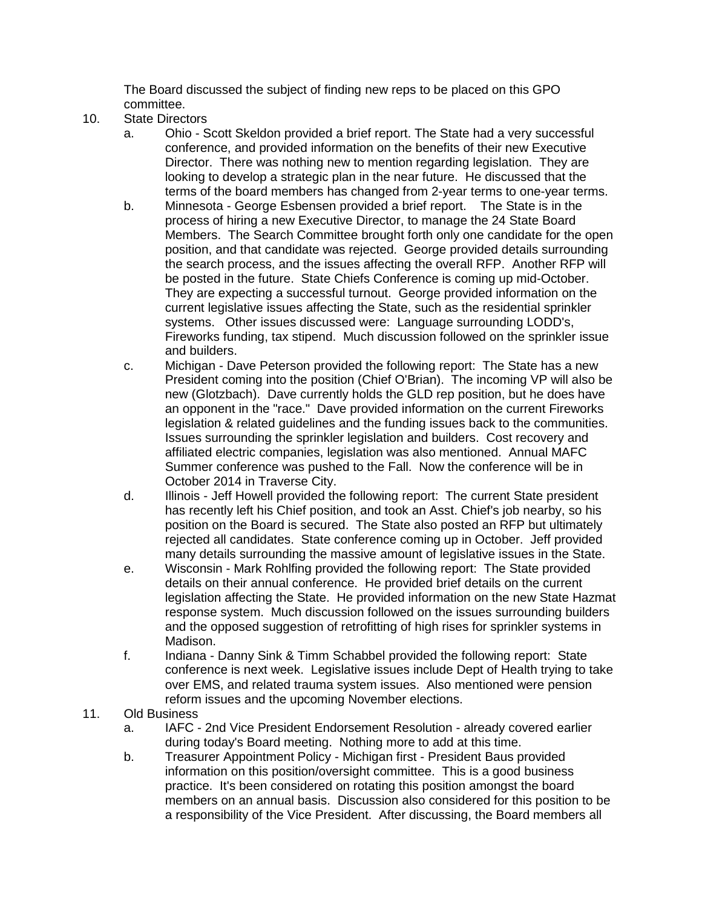The Board discussed the subject of finding new reps to be placed on this GPO committee.

- 10. State Directors
	- a. Ohio Scott Skeldon provided a brief report. The State had a very successful conference, and provided information on the benefits of their new Executive Director. There was nothing new to mention regarding legislation. They are looking to develop a strategic plan in the near future. He discussed that the terms of the board members has changed from 2-year terms to one-year terms.
	- b. Minnesota George Esbensen provided a brief report. The State is in the process of hiring a new Executive Director, to manage the 24 State Board Members. The Search Committee brought forth only one candidate for the open position, and that candidate was rejected. George provided details surrounding the search process, and the issues affecting the overall RFP. Another RFP will be posted in the future. State Chiefs Conference is coming up mid-October. They are expecting a successful turnout. George provided information on the current legislative issues affecting the State, such as the residential sprinkler systems. Other issues discussed were: Language surrounding LODD's, Fireworks funding, tax stipend. Much discussion followed on the sprinkler issue and builders.
	- c. Michigan Dave Peterson provided the following report: The State has a new President coming into the position (Chief O'Brian). The incoming VP will also be new (Glotzbach). Dave currently holds the GLD rep position, but he does have an opponent in the "race." Dave provided information on the current Fireworks legislation & related guidelines and the funding issues back to the communities. Issues surrounding the sprinkler legislation and builders. Cost recovery and affiliated electric companies, legislation was also mentioned. Annual MAFC Summer conference was pushed to the Fall. Now the conference will be in October 2014 in Traverse City.
	- d. Illinois Jeff Howell provided the following report: The current State president has recently left his Chief position, and took an Asst. Chief's job nearby, so his position on the Board is secured. The State also posted an RFP but ultimately rejected all candidates. State conference coming up in October. Jeff provided many details surrounding the massive amount of legislative issues in the State.
	- e. Wisconsin Mark Rohlfing provided the following report: The State provided details on their annual conference. He provided brief details on the current legislation affecting the State. He provided information on the new State Hazmat response system. Much discussion followed on the issues surrounding builders and the opposed suggestion of retrofitting of high rises for sprinkler systems in Madison.
	- f. Indiana Danny Sink & Timm Schabbel provided the following report: State conference is next week. Legislative issues include Dept of Health trying to take over EMS, and related trauma system issues. Also mentioned were pension reform issues and the upcoming November elections.
- 11. Old Business
	- a. IAFC 2nd Vice President Endorsement Resolution already covered earlier during today's Board meeting. Nothing more to add at this time.
	- b. Treasurer Appointment Policy Michigan first President Baus provided information on this position/oversight committee. This is a good business practice. It's been considered on rotating this position amongst the board members on an annual basis. Discussion also considered for this position to be a responsibility of the Vice President. After discussing, the Board members all